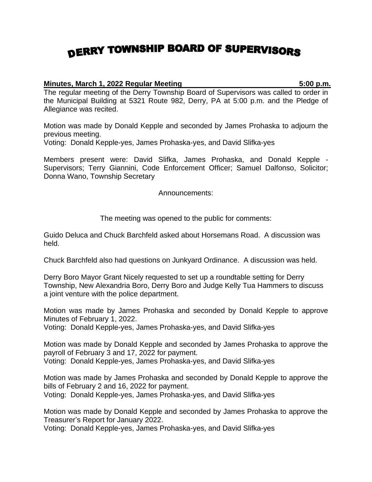## DERRY TOWNSHIP BOARD OF SUPERVISORS

## **Minutes, March 1, 2022 Regular Meeting 5:00 p.m.**

The regular meeting of the Derry Township Board of Supervisors was called to order in the Municipal Building at 5321 Route 982, Derry, PA at 5:00 p.m. and the Pledge of Allegiance was recited.

Motion was made by Donald Kepple and seconded by James Prohaska to adjourn the previous meeting.

Voting: Donald Kepple-yes, James Prohaska-yes, and David Slifka-yes

Members present were: David Slifka, James Prohaska, and Donald Kepple - Supervisors; Terry Giannini, Code Enforcement Officer; Samuel Dalfonso, Solicitor; Donna Wano, Township Secretary

Announcements:

The meeting was opened to the public for comments:

Guido Deluca and Chuck Barchfeld asked about Horsemans Road. A discussion was held.

Chuck Barchfeld also had questions on Junkyard Ordinance. A discussion was held.

Derry Boro Mayor Grant Nicely requested to set up a roundtable setting for Derry Township, New Alexandria Boro, Derry Boro and Judge Kelly Tua Hammers to discuss a joint venture with the police department.

Motion was made by James Prohaska and seconded by Donald Kepple to approve Minutes of February 1, 2022.

Voting: Donald Kepple-yes, James Prohaska-yes, and David Slifka-yes

Motion was made by Donald Kepple and seconded by James Prohaska to approve the payroll of February 3 and 17, 2022 for payment. Voting: Donald Kepple-yes, James Prohaska-yes, and David Slifka-yes

Motion was made by James Prohaska and seconded by Donald Kepple to approve the bills of February 2 and 16, 2022 for payment.

Voting: Donald Kepple-yes, James Prohaska-yes, and David Slifka-yes

Motion was made by Donald Kepple and seconded by James Prohaska to approve the Treasurer's Report for January 2022.

Voting: Donald Kepple-yes, James Prohaska-yes, and David Slifka-yes